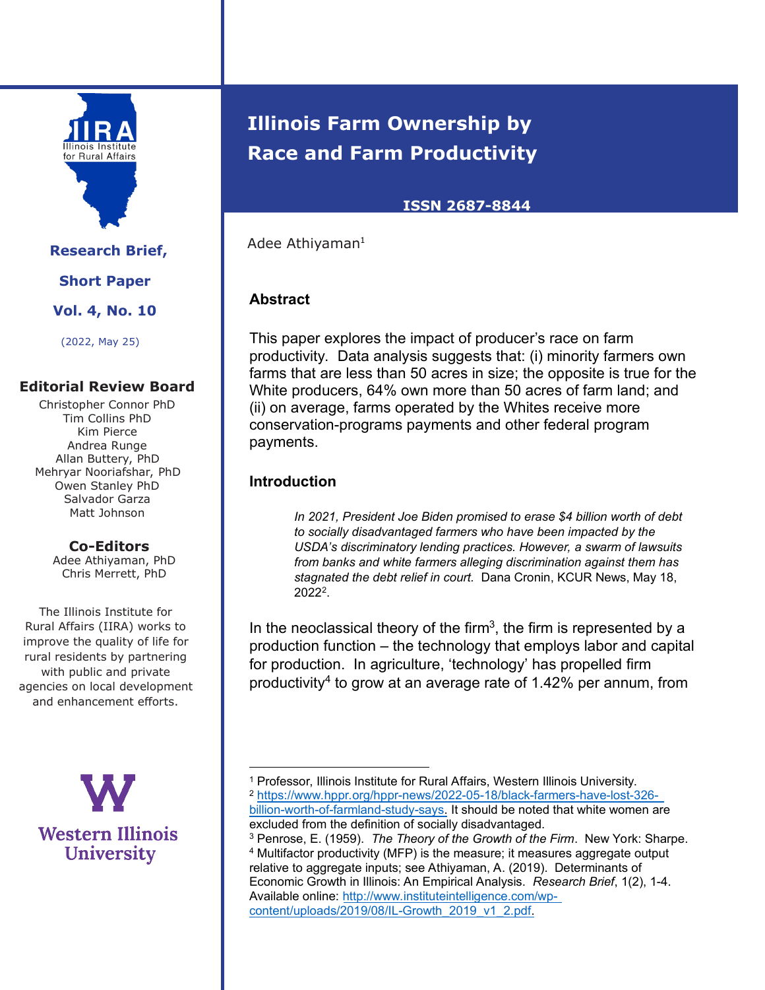

**Research Brief, Short Paper**

**Vol. 4, No. 10** 

(2022, May 25)

### **Editorial Review Board**

Christopher Connor PhD Tim Collins PhD Kim Pierce Andrea Runge Allan Buttery, PhD Mehryar Nooriafshar, PhD Owen Stanley PhD Salvador Garza Matt Johnson

### **Co-Editors**

Adee Athiyaman, PhD Chris Merrett, PhD

The Illinois Institute for Rural Affairs (IIRA) works to improve the quality of life for rural residents by partnering with public and private agencies on local development and enhancement efforts.

> **Western Illinois University**

# **Illinois Farm Ownership by Race and Farm Productivity**

### **ISSN 2687-8844**

Adee Athiyaman<sup>1</sup>

## **Abstract**

This paper explores the impact of producer's race on farm productivity. Data analysis suggests that: (i) minority farmers own farms that are less than 50 acres in size; the opposite is true for the White producers, 64% own more than 50 acres of farm land; and (ii) on average, farms operated by the Whites receive more conservation-programs payments and other federal program payments.

### **Introduction**

 $\overline{a}$ 

*In 2021, President Joe Biden promised to erase \$4 billion worth of debt to socially disadvantaged farmers who have been impacted by the USDA's discriminatory lending practices. However, a swarm of lawsuits from banks and white farmers alleging discrimination against them has stagnated the debt relief in court.* Dana Cronin, KCUR News, May 18, 2022<sup>2</sup> .

In the neoclassical theory of the firm<sup>3</sup>, the firm is represented by a production function – the technology that employs labor and capital for production. In agriculture, 'technology' has propelled firm productivity<sup>4</sup> to grow at an average rate of 1.42% per annum, from

<sup>3</sup> Penrose, E. (1959). *The Theory of the Growth of the Firm*. New York: Sharpe.

<sup>1</sup> Professor, Illinois Institute for Rural Affairs, Western Illinois University. <sup>2</sup> https://www.hppr.org/hppr-news/2022-05-18/black-farmers-have-lost-326 billion-worth-of-farmland-study-says. It should be noted that white women are excluded from the definition of socially disadvantaged.

<sup>4</sup> Multifactor productivity (MFP) is the measure; it measures aggregate output relative to aggregate inputs; see Athiyaman, A. (2019). Determinants of Economic Growth in Illinois: An Empirical Analysis. *Research Brief*, 1(2), 1-4. Available online: http://www.instituteintelligence.com/wpcontent/uploads/2019/08/IL-Growth\_2019\_v1\_2.pdf.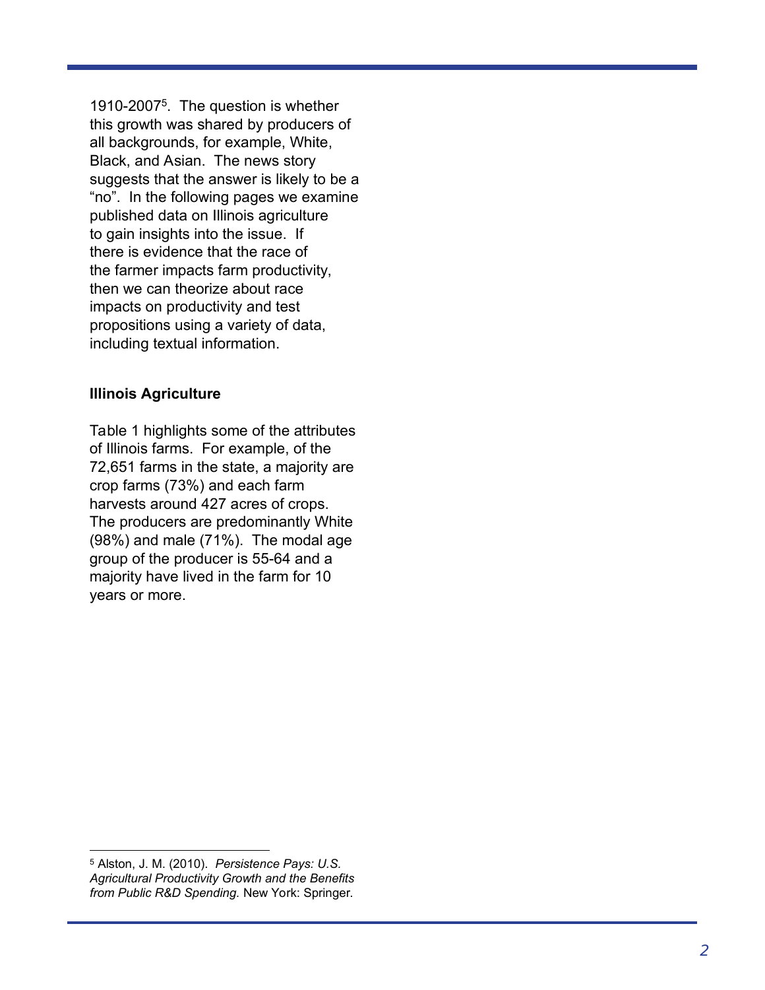1910-2007 5 . The question is whether this growth was shared by producers of all backgrounds, for example, White, Black, and Asian. The news story suggests that the answer is likely to be a "no". In the following pages we examine published data on Illinois agriculture to gain insights into the issue. If there is evidence that the race of the farmer impacts farm productivity, then we can theorize about race impacts on productivity and test propositions using a variety of data, including textual information.

### **Illinois Agriculture**

Table 1 highlights some of the attributes of Illinois farms. For example, of the 72,651 farms in the state, a majority are crop farms (73%) and each farm harvests around 427 acres of crops. The producers are predominantly White (98%) and male (71%). The modal age group of the producer is 55-64 and a majority have lived in the farm for 10 years or more.

 $\overline{a}$ 

<sup>5</sup> Alston, J. M. (2010). *Persistence Pays: U.S. Agricultural Productivity Growth and the Benefits from Public R&D Spending.* New York: Springer.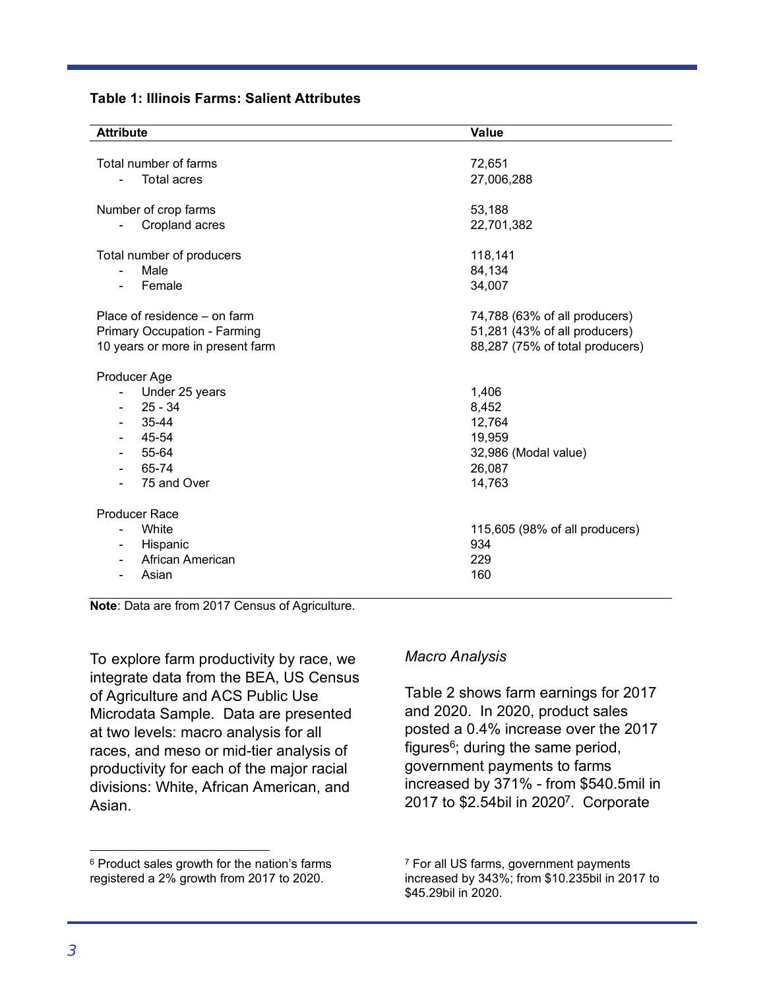|  |  |  |  | <b>Table 1: Illinois Farms: Salient Attributes</b> |
|--|--|--|--|----------------------------------------------------|
|--|--|--|--|----------------------------------------------------|

| <b>Attribute</b>                     | <b>Value</b>                    |
|--------------------------------------|---------------------------------|
|                                      |                                 |
| Total number of farms                | 72,651                          |
| <b>Total acres</b>                   | 27,006,288                      |
|                                      |                                 |
| Number of crop farms                 | 53,188                          |
| Cropland acres                       | 22,701,382                      |
| Total number of producers            | 118,141                         |
| Male<br>۰                            | 84,134                          |
| Female                               | 34,007                          |
|                                      |                                 |
| Place of residence – on farm         | 74,788 (63% of all producers)   |
| Primary Occupation - Farming         | 51,281 (43% of all producers)   |
| 10 years or more in present farm     | 88,287 (75% of total producers) |
|                                      |                                 |
| Producer Age                         |                                 |
| Under 25 years                       | 1,406                           |
| $25 - 34$                            | 8,452                           |
| 35-44                                | 12,764                          |
| 45-54                                | 19,959                          |
| 55-64                                | 32,986 (Modal value)            |
| 65-74<br>$\overline{\phantom{0}}$    | 26,087                          |
| 75 and Over                          | 14,763                          |
|                                      |                                 |
| <b>Producer Race</b>                 |                                 |
| White                                | 115,605 (98% of all producers)  |
| Hispanic<br>$\overline{\phantom{0}}$ | 934                             |
| African American                     | 229                             |
| Asian                                | 160                             |
|                                      |                                 |

**Note**: Data are from 2017 Census of Agriculture.

To explore farm productivity by race, we integrate data from the BEA, US Census of Agriculture and ACS Public Use Microdata Sample. Data are presented at two levels: macro analysis for all races, and meso or mid-tier analysis of productivity for each of the major racial divisions: White, African American, and Asian.

### *Macro Analysis*

Table 2 shows farm earnings for 2017 and 2020. In 2020, product sales posted a 0.4% increase over the 2017  $f$ iqures<sup>6</sup>; during the same period, government payments to farms increased by 371% - from \$540.5mil in 2017 to \$2.54bil in 2020<sup>7</sup> . Corporate

 $\overline{a}$ 

<sup>6</sup> Product sales growth for the nation's farms registered a 2% growth from 2017 to 2020.

<sup>&</sup>lt;sup>7</sup> For all US farms, government payments increased by 343%; from \$10.235bil in 2017 to \$45.29bil in 2020.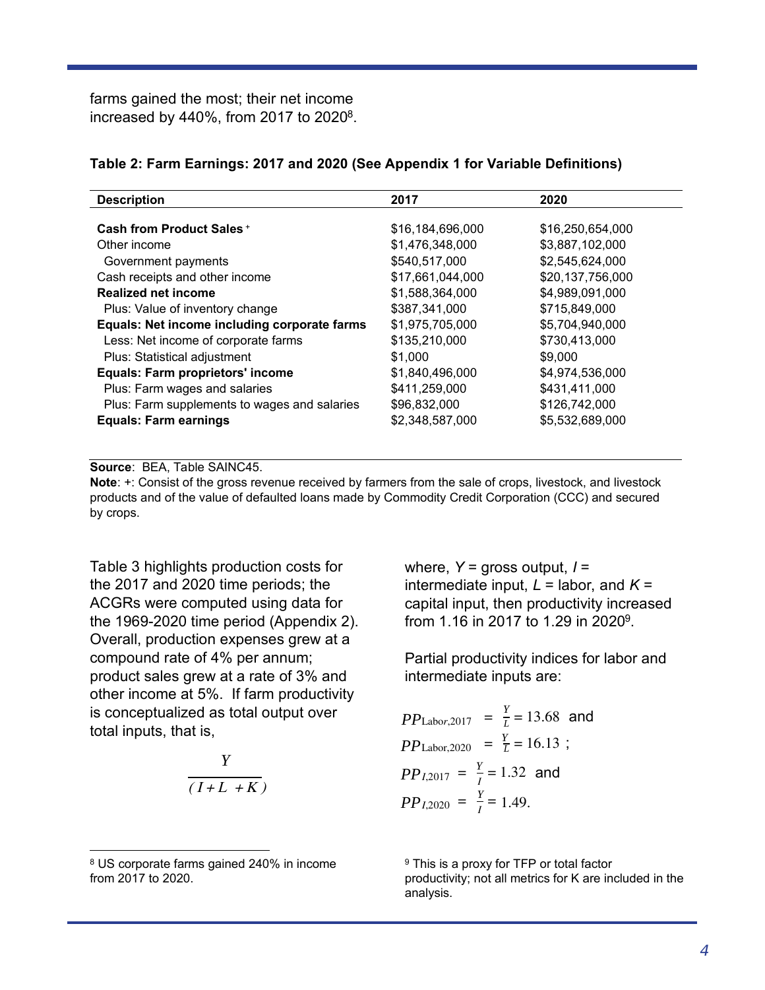farms gained the most; their net income increased by  $440\%$ , from 2017 to 2020 $^8$ .

|  |  | Table 2: Farm Earnings: 2017 and 2020 (See Appendix 1 for Variable Definitions) |  |
|--|--|---------------------------------------------------------------------------------|--|
|  |  |                                                                                 |  |

| <b>Description</b>                           | 2017             | 2020             |
|----------------------------------------------|------------------|------------------|
|                                              |                  |                  |
| <b>Cash from Product Sales +</b>             | \$16,184,696,000 | \$16,250,654,000 |
| Other income                                 | \$1,476,348,000  | \$3,887,102,000  |
| Government payments                          | \$540,517,000    | \$2,545,624,000  |
| Cash receipts and other income               | \$17,661,044,000 | \$20,137,756,000 |
| <b>Realized net income</b>                   | \$1,588,364,000  | \$4,989,091,000  |
| Plus: Value of inventory change              | \$387,341,000    | \$715,849,000    |
| Equals: Net income including corporate farms | \$1,975,705,000  | \$5,704,940,000  |
| Less: Net income of corporate farms          | \$135,210,000    | \$730,413,000    |
| Plus: Statistical adjustment                 | \$1,000          | \$9,000          |
| <b>Equals: Farm proprietors' income</b>      | \$1,840,496,000  | \$4,974,536,000  |
| Plus: Farm wages and salaries                | \$411,259,000    | \$431,411,000    |
| Plus: Farm supplements to wages and salaries | \$96,832,000     | \$126,742,000    |
| <b>Equals: Farm earnings</b>                 | \$2,348,587,000  | \$5,532,689,000  |

**Source**: BEA, Table SAINC45.

**Note**: +: Consist of the gross revenue received by farmers from the sale of crops, livestock, and livestock products and of the value of defaulted loans made by Commodity Credit Corporation (CCC) and secured by crops.

Table 3 highlights production costs for the 2017 and 2020 time periods; the ACGRs were computed using data for the 1969-2020 time period (Appendix 2). Overall, production expenses grew at a compound rate of 4% per annum; product sales grew at a rate of 3% and other income at 5%. If farm productivity is conceptualized as total output over total inputs, that is,

$$
\frac{Y}{(I+L+K)}
$$

 $\overline{a}$ 

where, *Y* = gross output, *I* = intermediate input,  $L =$  labor, and  $K =$ capital input, then productivity increased from 1.16 in 2017 to 1.29 in 2020<sup>9</sup>.

Partial productivity indices for labor and intermediate inputs are:

*PP*<sub>Labor,2017</sub> = 
$$
\frac{Y}{L} = 13.68
$$
 and  
\n*PP*<sub>Labor,2020</sub> =  $\frac{Y}{L} = 16.13$ ;  
\n*PP*<sub>I,2017</sub> =  $\frac{Y}{I} = 1.32$  and  
\n*PP*<sub>I,2020</sub> =  $\frac{Y}{I} = 1.49$ .

<sup>9</sup> This is a proxy for TFP or total factor productivity; not all metrics for K are included in the analysis.

<sup>8</sup> US corporate farms gained 240% in income from 2017 to 2020.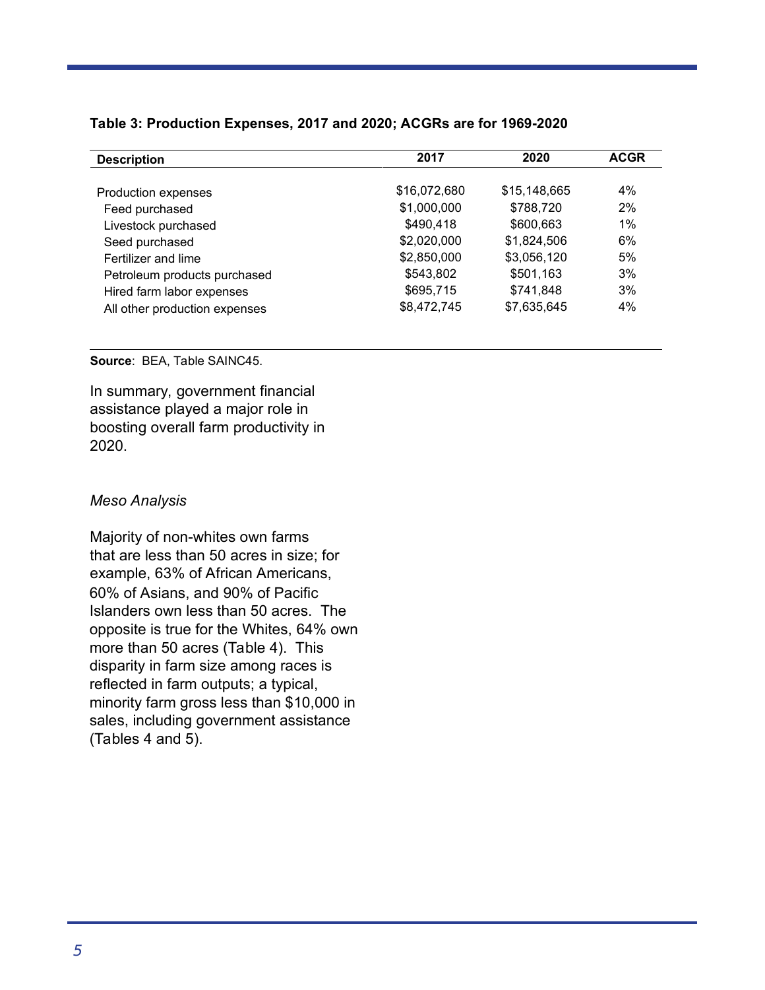| <b>Description</b>            | 2017         | 2020         | <b>ACGR</b> |
|-------------------------------|--------------|--------------|-------------|
|                               |              |              |             |
| Production expenses           | \$16,072,680 | \$15,148,665 | 4%          |
| Feed purchased                | \$1,000,000  | \$788,720    | 2%          |
| Livestock purchased           | \$490.418    | \$600,663    | $1\%$       |
| Seed purchased                | \$2,020,000  | \$1,824,506  | 6%          |
| Fertilizer and lime           | \$2,850,000  | \$3,056,120  | 5%          |
| Petroleum products purchased  | \$543,802    | \$501,163    | 3%          |
| Hired farm labor expenses     | \$695,715    | \$741.848    | 3%          |
| All other production expenses | \$8,472,745  | \$7,635,645  | 4%          |

#### **Table 3: Production Expenses, 2017 and 2020; ACGRs are for 1969-2020**

# **Source**: BEA, Table SAINC45.

In summary, government financial assistance played a major role in boosting overall farm productivity in 2020.

#### *Meso Analysis*

Majority of non-whites own farms that are less than 50 acres in size; for example, 63% of African Americans, 60% of Asians, and 90% of Pacific Islanders own less than 50 acres. The opposite is true for the Whites, 64% own more than 50 acres (Table 4). This disparity in farm size among races is reflected in farm outputs; a typical, minority farm gross less than \$10,000 in sales, including government assistance (Tables 4 and 5).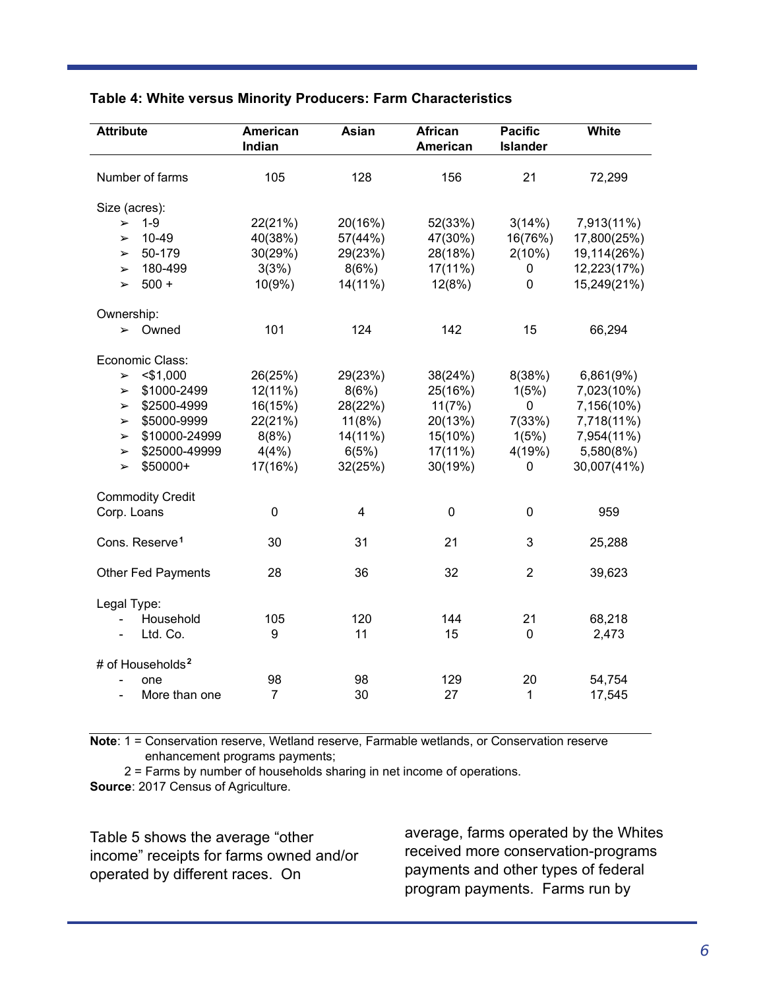| <b>Attribute</b>                       | American<br>Indian | Asian          | <b>African</b><br>American | <b>Pacific</b><br><b>Islander</b> | White       |
|----------------------------------------|--------------------|----------------|----------------------------|-----------------------------------|-------------|
| Number of farms                        | 105                | 128            | 156                        | 21                                | 72,299      |
| Size (acres):                          |                    |                |                            |                                   |             |
| $1 - 9$<br>$\blacktriangleright$       | 22(21%)            | 20(16%)        | 52(33%)                    | 3(14%)                            | 7,913(11%)  |
| $10 - 49$<br>$\blacktriangleright$     | 40(38%)            | 57(44%)        | 47(30%)                    | 16(76%)                           | 17,800(25%) |
| 50-179<br>$\blacktriangleright$        | 30(29%)            | 29(23%)        | 28(18%)                    | 2(10%)                            | 19,114(26%) |
| 180-499<br>$\blacktriangleright$       | 3(3%)              | 8(6%)          | 17(11%)                    | 0                                 | 12,223(17%) |
| $500 +$<br>$\blacktriangleright$       | 10(9%              | 14(11%)        | 12(8%)                     | 0                                 | 15,249(21%) |
| Ownership:                             |                    |                |                            |                                   |             |
| Owned<br>$\blacktriangleright$         | 101                | 124            | 142                        | 15                                | 66,294      |
| Economic Class:                        |                    |                |                            |                                   |             |
| $<$ \$1,000<br>$\blacktriangleright$   | 26(25%)            | 29(23%)        | 38(24%)                    | 8(38%)                            | 6,861(9%)   |
| \$1000-2499<br>$\blacktriangleright$   | 12(11%)            | 8(6%)          | 25(16%)                    | 1(5%)                             | 7,023(10%)  |
| \$2500-4999<br>$\blacktriangleright$   | 16(15%)            | 28(22%)        | 11(7%)                     | 0                                 | 7,156(10%)  |
| \$5000-9999<br>$\blacktriangleright$   | 22(21%)            | 11(8%)         | 20(13%)                    | 7(33%)                            | 7,718(11%)  |
| \$10000-24999<br>$\blacktriangleright$ | 8(8%)              | 14(11%)        | 15(10%)                    | 1(5%)                             | 7,954(11%)  |
| \$25000-49999<br>$\blacktriangleright$ | 4(4%)              | 6(5%)          | 17(11%)                    | 4(19%)                            | 5,580(8%)   |
| \$50000+<br>$\blacktriangleright$      | 17(16%)            | 32(25%)        | 30(19%)                    | 0                                 | 30,007(41%) |
| <b>Commodity Credit</b>                |                    |                |                            |                                   |             |
| Corp. Loans                            | 0                  | $\overline{4}$ | $\mathbf 0$                | 0                                 | 959         |
| Cons. Reserve <sup>1</sup>             | 30                 | 31             | 21                         | 3                                 | 25,288      |
| <b>Other Fed Payments</b>              | 28                 | 36             | 32                         | $\overline{2}$                    | 39,623      |
| Legal Type:                            |                    |                |                            |                                   |             |
| Household                              | 105                | 120            | 144                        | 21                                | 68,218      |
| Ltd. Co.                               | 9                  | 11             | 15                         | 0                                 | 2,473       |
| # of Households <sup>2</sup>           |                    |                |                            |                                   |             |
| one                                    | 98                 | 98             | 129                        | 20                                | 54,754      |
| More than one<br>L,                    | $\overline{7}$     | 30             | 27                         | 1                                 | 17,545      |

### **Table 4: White versus Minority Producers: Farm Characteristics**

**Note**: 1 = Conservation reserve, Wetland reserve, Farmable wetlands, or Conservation reserve enhancement programs payments;

2 = Farms by number of households sharing in net income of operations.

**Source**: 2017 Census of Agriculture.

Table 5 shows the average "other income" receipts for farms owned and/or operated by different races. On

average, farms operated by the Whites received more conservation-programs payments and other types of federal program payments. Farms run by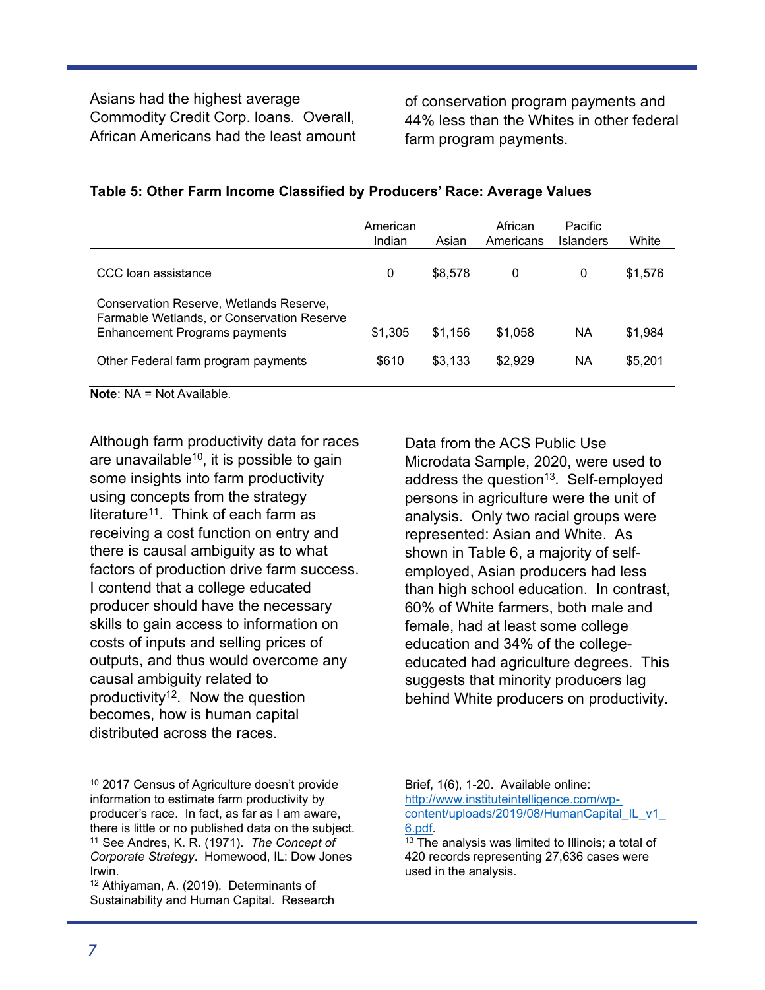Asians had the highest average Commodity Credit Corp. loans. Overall, African Americans had the least amount

of conservation program payments and 44% less than the Whites in other federal farm program payments.

|                                                                                                                               | American<br>Indian | Asian   | African<br>Americans | <b>Pacific</b><br>Islanders | White   |
|-------------------------------------------------------------------------------------------------------------------------------|--------------------|---------|----------------------|-----------------------------|---------|
| CCC loan assistance                                                                                                           | 0                  | \$8.578 | 0                    | 0                           | \$1,576 |
| Conservation Reserve, Wetlands Reserve,<br>Farmable Wetlands, or Conservation Reserve<br><b>Enhancement Programs payments</b> | \$1,305            | \$1,156 | \$1,058              | ΝA                          | \$1,984 |
| Other Federal farm program payments                                                                                           | \$610              | \$3,133 | \$2,929              | ΝA                          | \$5,201 |

#### **Table 5: Other Farm Income Classified by Producers' Race: Average Values**

**Note**: NA = Not Available.

Although farm productivity data for races are unavailable<sup>10</sup>, it is possible to gain some insights into farm productivity using concepts from the strategy literature<sup>11</sup>. Think of each farm as receiving a cost function on entry and there is causal ambiguity as to what factors of production drive farm success. I contend that a college educated producer should have the necessary skills to gain access to information on costs of inputs and selling prices of outputs, and thus would overcome any causal ambiguity related to productivity<sup>12</sup>. Now the question becomes, how is human capital distributed across the races.

<sup>12</sup> Athiyaman, A. (2019). Determinants of Sustainability and Human Capital. Research Data from the ACS Public Use Microdata Sample, 2020, were used to address the question<sup>13</sup>. Self-employed persons in agriculture were the unit of analysis. Only two racial groups were represented: Asian and White. As shown in Table 6, a majority of selfemployed, Asian producers had less than high school education. In contrast, 60% of White farmers, both male and female, had at least some college education and 34% of the collegeeducated had agriculture degrees. This suggests that minority producers lag behind White producers on productivity.

I

<sup>10</sup> 2017 Census of Agriculture doesn't provide information to estimate farm productivity by producer's race. In fact, as far as I am aware, there is little or no published data on the subject. <sup>11</sup> See Andres, K. R. (1971). *The Concept of Corporate Strategy*. Homewood, IL: Dow Jones Irwin.

Brief, 1(6), 1-20. Available online: http://www.instituteintelligence.com/wpcontent/uploads/2019/08/HumanCapital\_IL\_v1 6.pdf.

<sup>&</sup>lt;sup>13</sup> The analysis was limited to Illinois; a total of 420 records representing 27,636 cases were used in the analysis.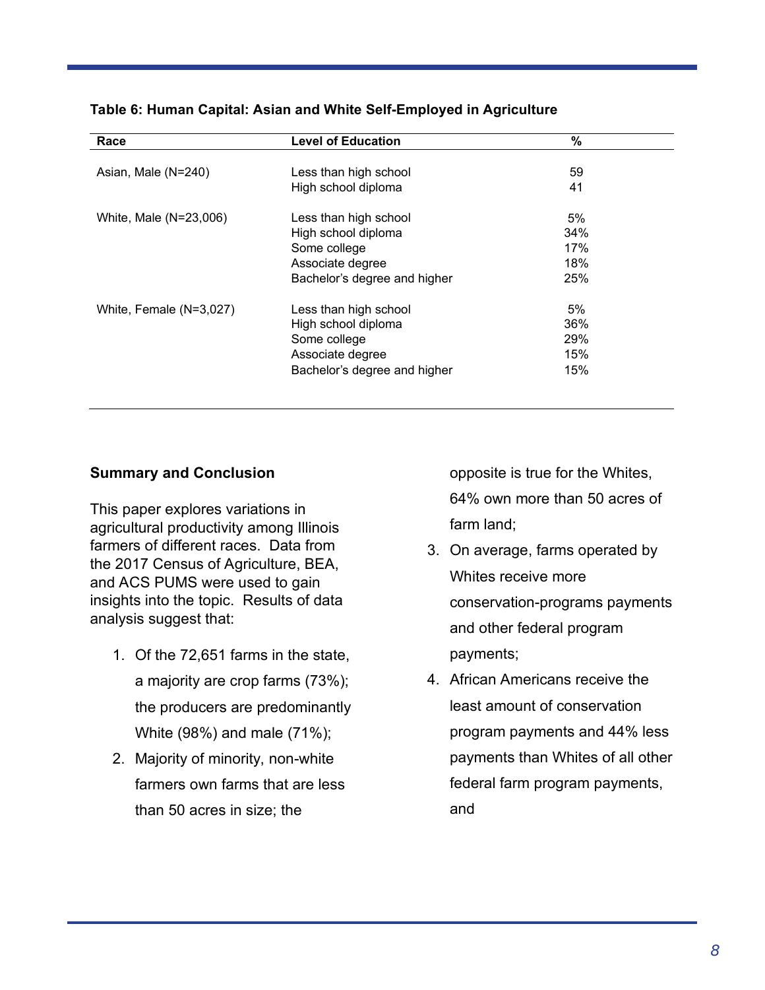| Race                    | <b>Level of Education</b>    | %   |  |
|-------------------------|------------------------------|-----|--|
| Asian, Male (N=240)     | Less than high school        | 59  |  |
|                         | High school diploma          | 41  |  |
| White, Male (N=23,006)  | Less than high school        | 5%  |  |
|                         | High school diploma          | 34% |  |
|                         | Some college                 | 17% |  |
|                         | Associate degree             | 18% |  |
|                         | Bachelor's degree and higher | 25% |  |
| White, Female (N=3,027) | Less than high school        | 5%  |  |
|                         | High school diploma          | 36% |  |
|                         | Some college                 | 29% |  |
|                         | Associate degree             | 15% |  |
|                         | Bachelor's degree and higher | 15% |  |

#### **Table 6: Human Capital: Asian and White Self-Employed in Agriculture**

### **Summary and Conclusion**

This paper explores variations in agricultural productivity among Illinois farmers of different races. Data from the 2017 Census of Agriculture, BEA, and ACS PUMS were used to gain insights into the topic. Results of data analysis suggest that:

- 1. Of the 72,651 farms in the state, a majority are crop farms (73%); the producers are predominantly White (98%) and male (71%);
- 2. Majority of minority, non-white farmers own farms that are less than 50 acres in size; the

opposite is true for the Whites, 64% own more than 50 acres of farm land;

- 3. On average, farms operated by Whites receive more conservation-programs payments and other federal program payments;
- 4. African Americans receive the least amount of conservation program payments and 44% less payments than Whites of all other federal farm program payments, and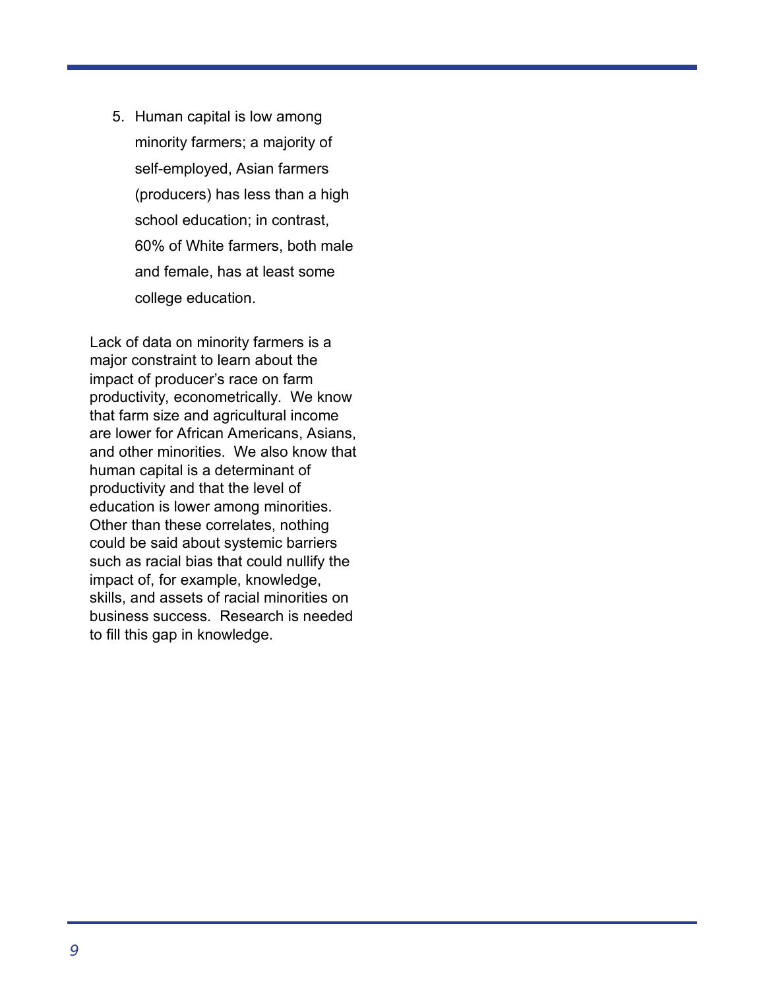5. Human capital is low among minority farmers; a majority of self-employed, Asian farmers (producers) has less than a high school education; in contrast, 60% of White farmers, both male and female, has at least some college education.

Lack of data on minority farmers is a major constraint to learn about the impact of producer's race on farm mipact of producct strace of families.<br>productivity, econometrically. We know that farm size and agricultural income are lower for African Americans, Asians, and other minorities. We also know that human capital is a determinant of productivity and that the level of education is lower among minorities. Other than these correlates, nothing could be said about systemic barriers such as racial bias that could nullify the impact of, for example, knowledge, skills, and assets of racial minorities on business success. Research is needed to fill this gap in knowledge.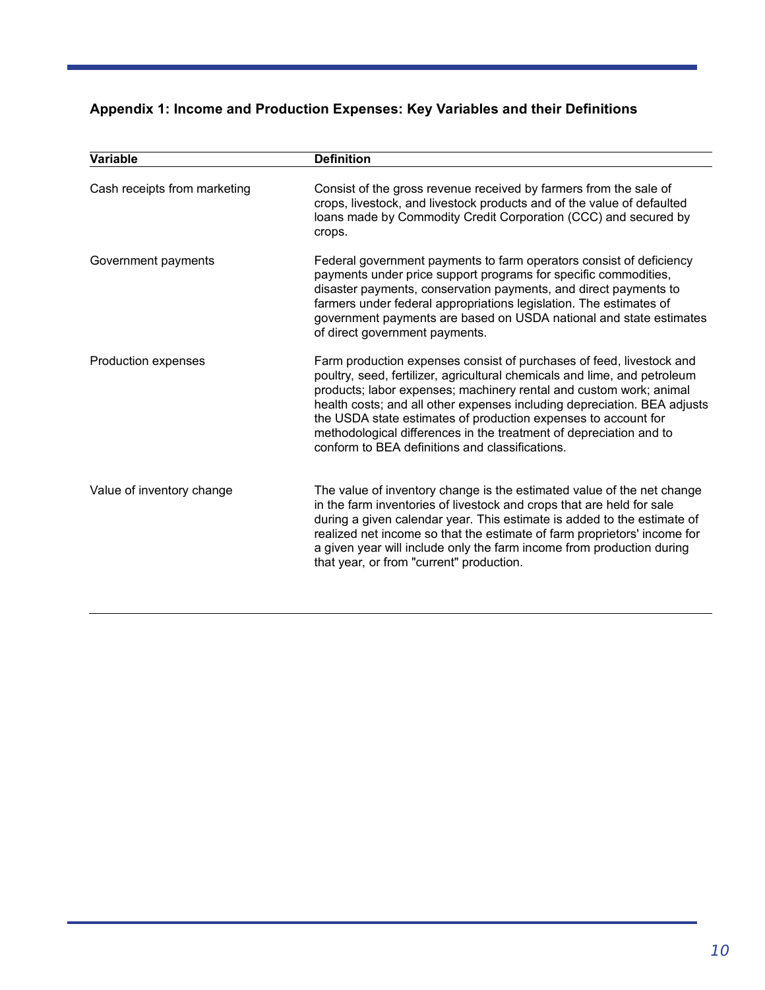# **Appendix 1: Income and Production Expenses: Key Variables and their Definitions**

| Variable                     | <b>Definition</b>                                                                                                                                                                                                                                                                                                                                                                                                                                                                              |
|------------------------------|------------------------------------------------------------------------------------------------------------------------------------------------------------------------------------------------------------------------------------------------------------------------------------------------------------------------------------------------------------------------------------------------------------------------------------------------------------------------------------------------|
| Cash receipts from marketing | Consist of the gross revenue received by farmers from the sale of<br>crops, livestock, and livestock products and of the value of defaulted<br>loans made by Commodity Credit Corporation (CCC) and secured by<br>crops.                                                                                                                                                                                                                                                                       |
| Government payments          | Federal government payments to farm operators consist of deficiency<br>payments under price support programs for specific commodities,<br>disaster payments, conservation payments, and direct payments to<br>farmers under federal appropriations legislation. The estimates of<br>government payments are based on USDA national and state estimates<br>of direct government payments.                                                                                                       |
| Production expenses          | Farm production expenses consist of purchases of feed, livestock and<br>poultry, seed, fertilizer, agricultural chemicals and lime, and petroleum<br>products; labor expenses; machinery rental and custom work; animal<br>health costs; and all other expenses including depreciation. BEA adjusts<br>the USDA state estimates of production expenses to account for<br>methodological differences in the treatment of depreciation and to<br>conform to BEA definitions and classifications. |
| Value of inventory change    | The value of inventory change is the estimated value of the net change<br>in the farm inventories of livestock and crops that are held for sale<br>during a given calendar year. This estimate is added to the estimate of<br>realized net income so that the estimate of farm proprietors' income for<br>a given year will include only the farm income from production during<br>that year, or from "current" production.                                                                    |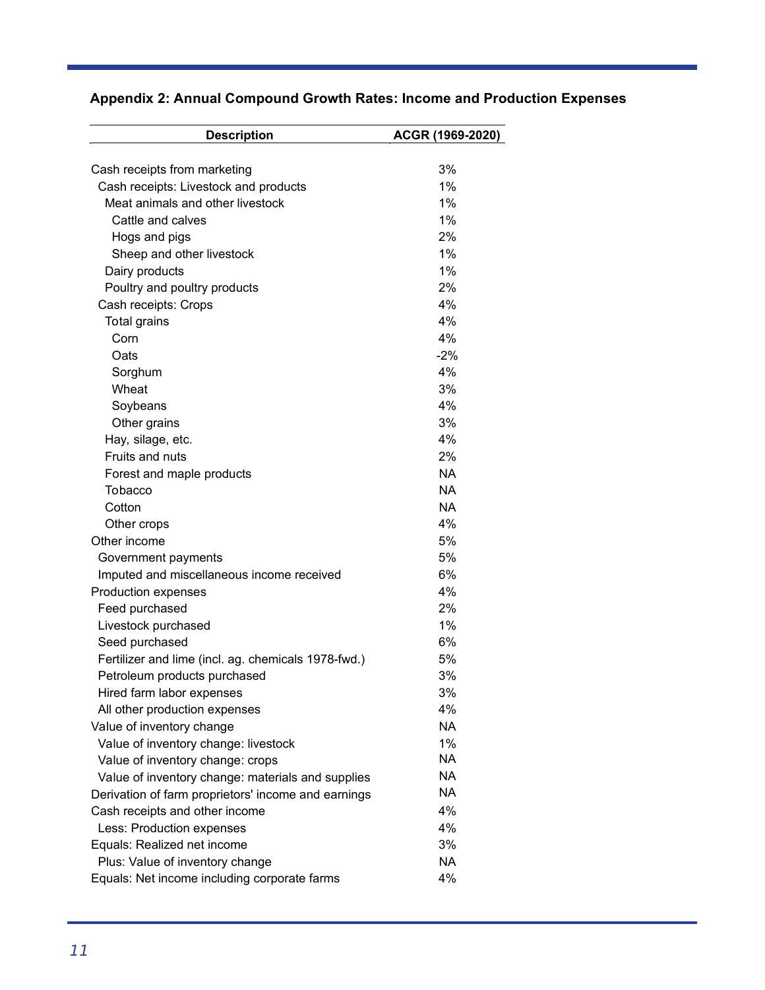| <b>Description</b>                                  | ACGR (1969-2020) |
|-----------------------------------------------------|------------------|
| Cash receipts from marketing                        | 3%               |
| Cash receipts: Livestock and products               | 1%               |
| Meat animals and other livestock                    | 1%               |
| Cattle and calves                                   | 1%               |
|                                                     | 2%               |
| Hogs and pigs                                       | 1%               |
| Sheep and other livestock                           |                  |
| Dairy products                                      | 1%               |
| Poultry and poultry products                        | 2%               |
| Cash receipts: Crops                                | 4%               |
| Total grains                                        | 4%               |
| Corn                                                | 4%               |
| Oats                                                | $-2%$            |
| Sorghum                                             | 4%               |
| Wheat                                               | 3%               |
| Soybeans                                            | 4%               |
| Other grains                                        | 3%               |
| Hay, silage, etc.                                   | 4%               |
| Fruits and nuts                                     | 2%               |
| Forest and maple products                           | NA.              |
| Tobacco                                             | <b>NA</b>        |
| Cotton                                              | <b>NA</b>        |
| Other crops                                         | 4%               |
| Other income                                        | 5%               |
| Government payments                                 | 5%               |
| Imputed and miscellaneous income received           | 6%               |
| Production expenses                                 | 4%               |
| Feed purchased                                      | 2%               |
| Livestock purchased                                 | 1%               |
| Seed purchased                                      | 6%               |
| Fertilizer and lime (incl. ag. chemicals 1978-fwd.) | 5%               |
| Petroleum products purchased                        | 3%               |
| Hired farm labor expenses                           | 3%               |
| All other production expenses                       | 4%               |
| Value of inventory change                           | <b>NA</b>        |
| Value of inventory change: livestock                | 1%               |
| Value of inventory change: crops                    | <b>NA</b>        |
| Value of inventory change: materials and supplies   | NA               |
| Derivation of farm proprietors' income and earnings | <b>NA</b>        |
| Cash receipts and other income                      | 4%               |
| Less: Production expenses                           | 4%               |
| Equals: Realized net income                         | 3%               |
| Plus: Value of inventory change                     | NA               |
| Equals: Net income including corporate farms        | 4%               |
|                                                     |                  |

# **Appendix 2: Annual Compound Growth Rates: Income and Production Expenses**